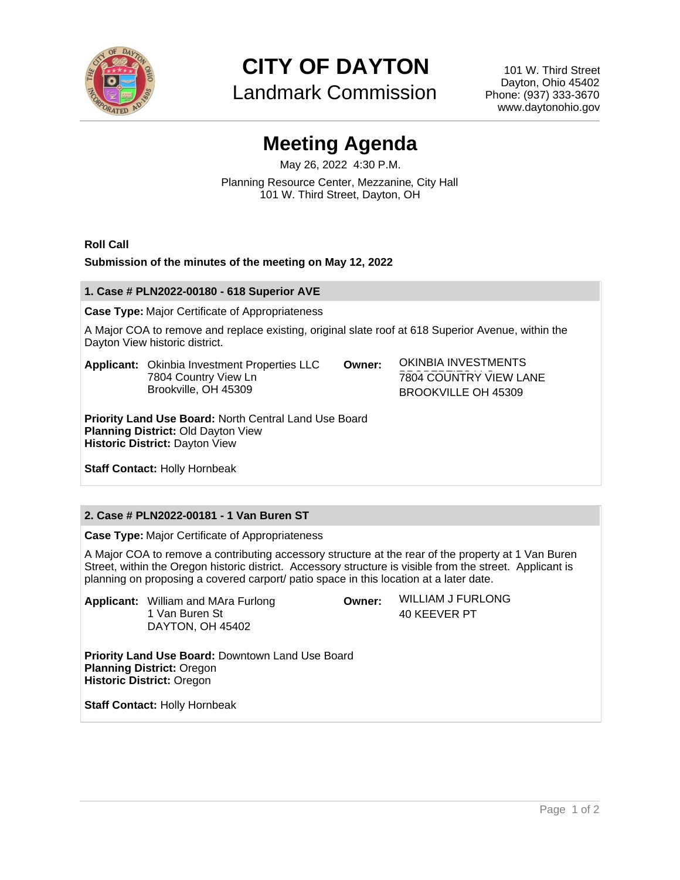

**CITY OF DAYTON**

Landmark Commission

101 W. Third Street Dayton, Ohio 45402 Phone: (937) 333-3670 www.daytonohio.gov

# **Meeting Agenda**

May 26, 2022 4:30 P.M. Planning Resource Center, Mezzanine, City Hall 101 W. Third Street, Dayton, OH

**Roll Call**

## **Submission of the minutes of the meeting on May 12, 2022**

#### **1. Case # PLN2022-00180 - 618 Superior AVE**

**Case Type:** Major Certificate of Appropriateness

A Major COA to remove and replace existing, original slate roof at 618 Superior Avenue, within the Dayton View historic district.

**Applicant:** Okinbia Investment Properties LLC 7804 Country View Ln Brookville, OH 45309

**Owner:** OKINBIA INVESTMENTS **7804 COUNTRY VIEW LANE** BROOKVILLE OH 45309

**Priority Land Use Board:** North Central Land Use Board **Planning District:** Old Dayton View **Historic District:** Dayton View

**Staff Contact:** Holly Hornbeak

# **2. Case # PLN2022-00181 - 1 Van Buren ST**

**Case Type:** Major Certificate of Appropriateness

A Major COA to remove a contributing accessory structure at the rear of the property at 1 Van Buren Street, within the Oregon historic district. Accessory structure is visible from the street. Applicant is planning on proposing a covered carport/ patio space in this location at a later date.

**Applicant:** William and MAra Furlong 1 Van Buren St DAYTON, OH 45402

**Owner:** WILLIAM J FURLONG 40 KEEVER PT

**Priority Land Use Board:** Downtown Land Use Board **Planning District:** Oregon **Historic District:** Oregon

**Staff Contact:** Holly Hornbeak